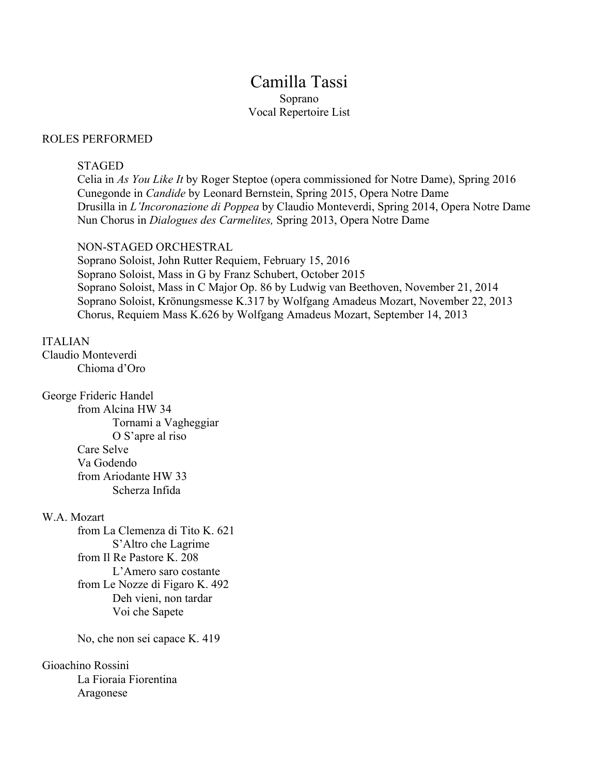## Camilla Tassi Soprano Vocal Repertoire List

#### ROLES PERFORMED

#### STAGED

Celia in *As You Like It* by Roger Steptoe (opera commissioned for Notre Dame), Spring 2016 Cunegonde in *Candide* by Leonard Bernstein, Spring 2015, Opera Notre Dame Drusilla in *L'Incoronazione di Poppea* by Claudio Monteverdi, Spring 2014, Opera Notre Dame Nun Chorus in *Dialogues des Carmelites,* Spring 2013, Opera Notre Dame

#### NON-STAGED ORCHESTRAL

Soprano Soloist, John Rutter Requiem, February 15, 2016 Soprano Soloist, Mass in G by Franz Schubert, October 2015 Soprano Soloist, Mass in C Major Op. 86 by Ludwig van Beethoven, November 21, 2014 Soprano Soloist, Krönungsmesse K.317 by Wolfgang Amadeus Mozart, November 22, 2013 Chorus, Requiem Mass K.626 by Wolfgang Amadeus Mozart, September 14, 2013

#### ITALIAN

Claudio Monteverdi Chioma d'Oro

#### George Frideric Handel

from Alcina HW 34 Tornami a Vagheggiar O S'apre al riso Care Selve Va Godendo from Ariodante HW 33 Scherza Infida

#### W.A. Mozart

from La Clemenza di Tito K. 621 S'Altro che Lagrime from Il Re Pastore K. 208 L'Amero saro costante from Le Nozze di Figaro K. 492 Deh vieni, non tardar Voi che Sapete

No, che non sei capace K. 419

### Gioachino Rossini

La Fioraia Fiorentina Aragonese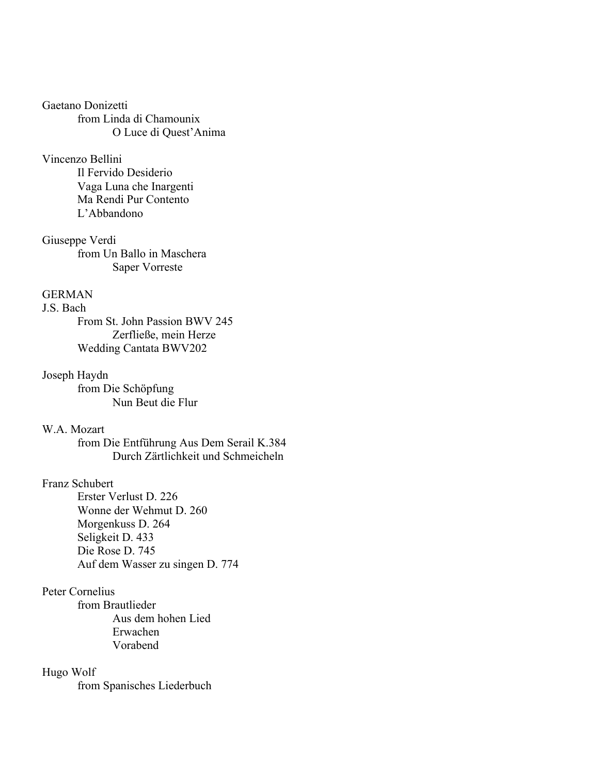Gaetano Donizetti from Linda di Chamounix O Luce di Quest'Anima

#### Vincenzo Bellini

Il Fervido Desiderio Vaga Luna che Inargenti Ma Rendi Pur Contento L'Abbandono

Giuseppe Verdi from Un Ballo in Maschera Saper Vorreste

## **GERMAN**

J.S. Bach From St. John Passion BWV 245 Zerfließe, mein Herze Wedding Cantata BWV202

#### Joseph Haydn

from Die Schöpfung Nun Beut die Flur

## W.A. Mozart

from Die Entführung Aus Dem Serail K.384 Durch Zärtlichkeit und Schmeicheln

#### Franz Schubert

Erster Verlust D. 226 Wonne der Wehmut D. 260 Morgenkuss D. 264 Seligkeit D. 433 Die Rose D. 745 Auf dem Wasser zu singen D. 774

## Peter Cornelius

from Brautlieder Aus dem hohen Lied Erwachen Vorabend

#### Hugo Wolf

from Spanisches Liederbuch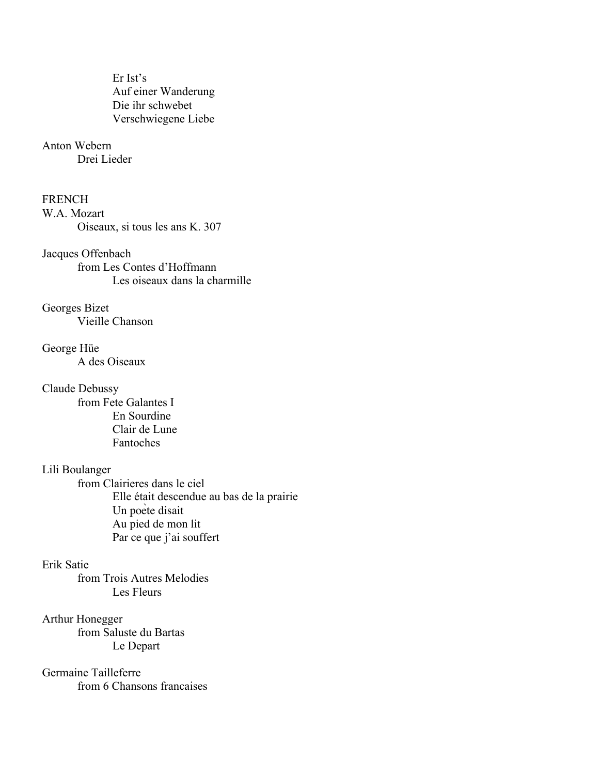Er Ist's Auf einer Wanderung Die ihr schwebet Verschwiegene Liebe

## Anton Webern

Drei Lieder

## **FRENCH**

W.A. Mozart Oiseaux, si tous les ans K. 307

Jacques Offenbach from Les Contes d'Hoffmann Les oiseaux dans la charmille

Georges Bizet Vieille Chanson

George Hüe A des Oiseaux

Claude Debussy from Fete Galantes I En Sourdine Clair de Lune Fantoches

## Lili Boulanger

from Clairieres dans le ciel Elle était descendue au bas de la prairie Un poète disait Au pied de mon lit Par ce que j'ai souffert

## Erik Satie

from Trois Autres Melodies Les Fleurs

## Arthur Honegger

from Saluste du Bartas Le Depart

# Germaine Tailleferre

from 6 Chansons francaises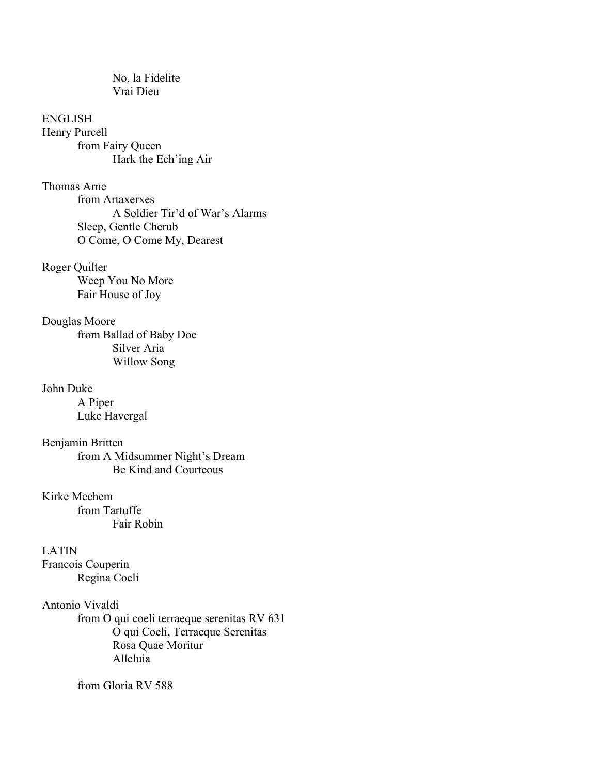No, la Fidelite Vrai Dieu

ENGLISH Henry Purcell from Fairy Queen Hark the Ech'ing Air

Thomas Arne from Artaxerxes A Soldier Tir'd of War's Alarms Sleep, Gentle Cherub O Come, O Come My, Dearest

Roger Quilter Weep You No More Fair House of Joy

Douglas Moore from Ballad of Baby Doe Silver Aria Willow Song

John Duke A Piper Luke Havergal

Benjamin Britten from A Midsummer Night's Dream Be Kind and Courteous

Kirke Mechem from Tartuffe Fair Robin

LATIN

Francois Couperin Regina Coeli

## Antonio Vivaldi

from O qui coeli terraeque serenitas RV 631 O qui Coeli, Terraeque Serenitas Rosa Quae Moritur Alleluia

from Gloria RV 588